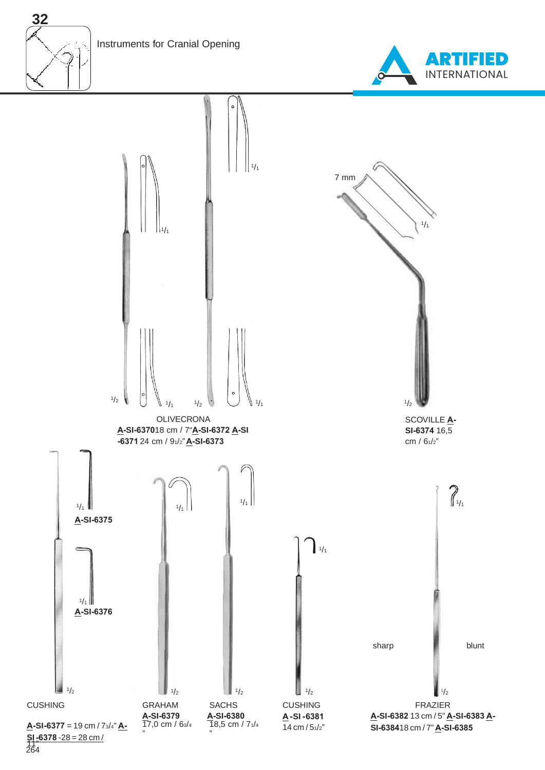Instruments for Cranial Opening

**32**





264